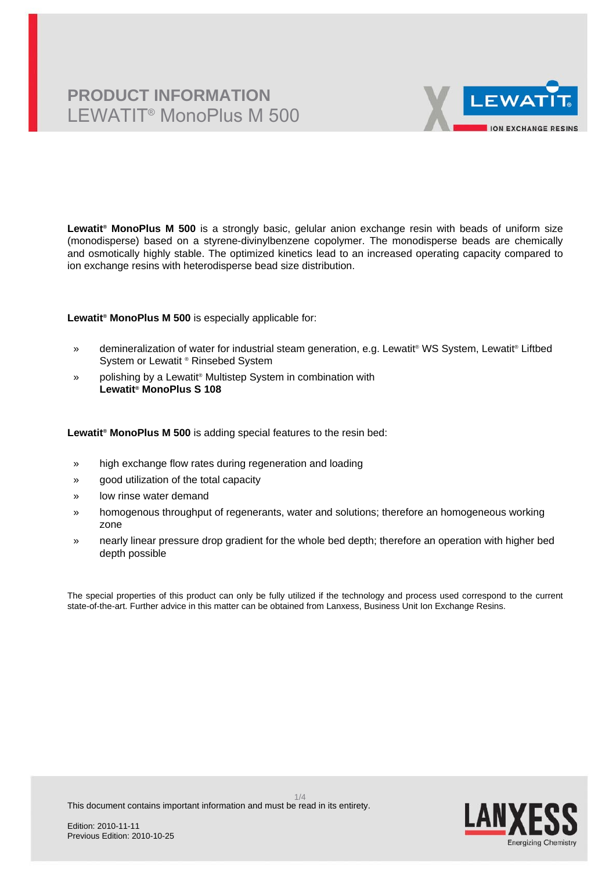# **PRODUCT INFORMATION** LEWATIT® MonoPlus M 500



**Lewatit® MonoPlus M 500** is a strongly basic, gelular anion exchange resin with beads of uniform size (monodisperse) based on a styrene-divinylbenzene copolymer. The monodisperse beads are chemically and osmotically highly stable. The optimized kinetics lead to an increased operating capacity compared to ion exchange resins with heterodisperse bead size distribution.

### **Lewatit® MonoPlus M 500** is especially applicable for:

- » demineralization of water for industrial steam generation, e.g. Lewatit® WS System, Lewatit® Liftbed System or Lewatit ® Rinsebed System
- » polishing by a Lewatit<sup>®</sup> Multistep System in combination with **Lewatit® MonoPlus S 108**

### **Lewatit® MonoPlus M 500** is adding special features to the resin bed:

- » high exchange flow rates during regeneration and loading
- » good utilization of the total capacity
- » low rinse water demand
- » homogenous throughput of regenerants, water and solutions; therefore an homogeneous working zone
- » nearly linear pressure drop gradient for the whole bed depth; therefore an operation with higher bed depth possible

The special properties of this product can only be fully utilized if the technology and process used correspond to the current state-of-the-art. Further advice in this matter can be obtained from Lanxess, Business Unit Ion Exchange Resins.

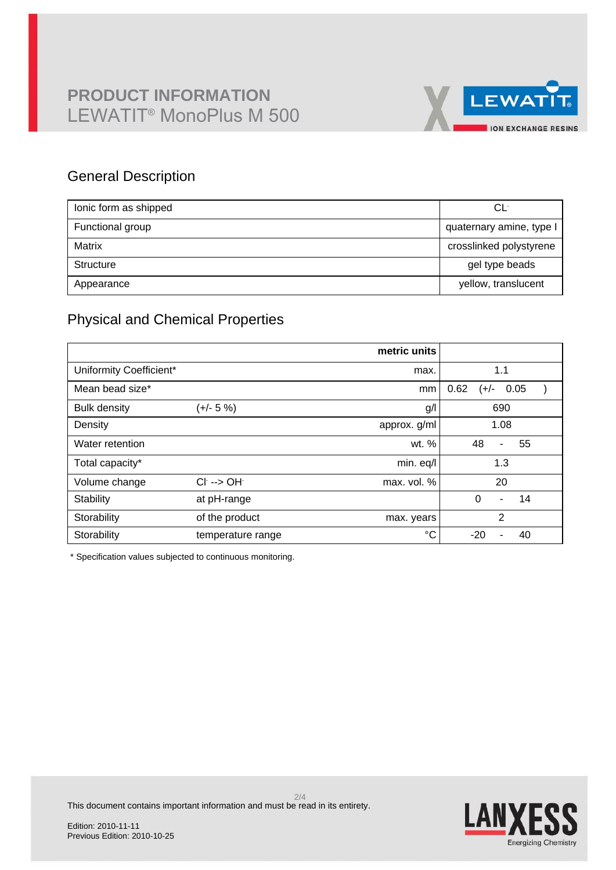# **PRODUCT INFORMATION** LEWATIT® MonoPlus M 500



## General Description

| lonic form as shipped | CĿ                       |
|-----------------------|--------------------------|
| Functional group      | quaternary amine, type I |
| Matrix                | crosslinked polystyrene  |
| Structure             | gel type beads           |
| Appearance            | yellow, translucent      |

## Physical and Chemical Properties

|                         |                         | metric units |                                  |
|-------------------------|-------------------------|--------------|----------------------------------|
| Uniformity Coefficient* |                         | max.         | 1.1                              |
| Mean bead size*         |                         | mm           | 0.62<br>0.05<br>(+/-             |
| <b>Bulk density</b>     | (+/- 5 %)               | g/           | 690                              |
| Density                 |                         | approx. g/ml | 1.08                             |
| Water retention         |                         | wt. %        | 48<br>55<br>$\blacksquare$       |
| Total capacity*         |                         | min. eq/l    | 1.3                              |
| Volume change           | $Cl^- \rightarrow OH^-$ | max. vol. %  | 20                               |
| Stability               | at pH-range             |              | $\Omega$<br>14<br>$\blacksquare$ |
| Storability             | of the product          | max. years   | $\overline{2}$                   |
| Storability             | temperature range       | °C           | $-20$<br>40                      |

\* Specification values subjected to continuous monitoring.

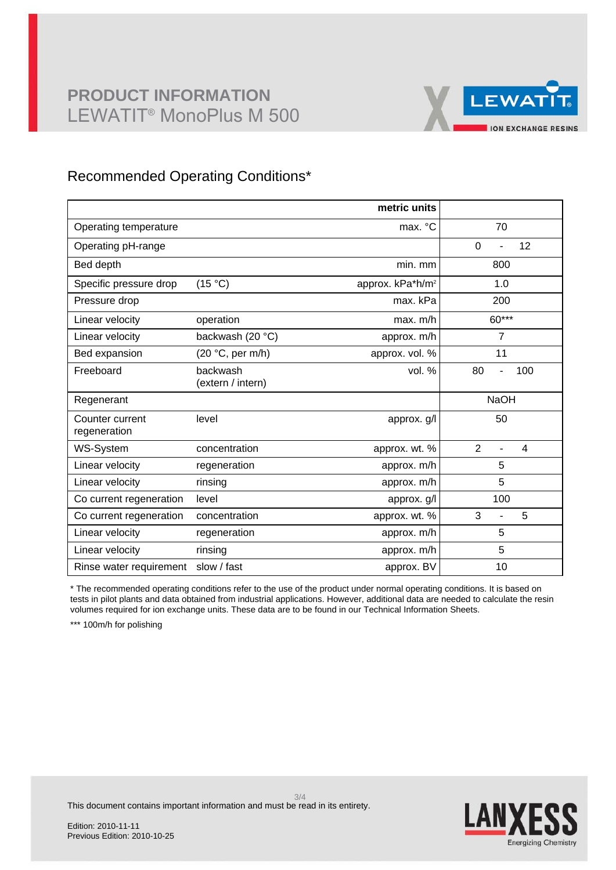## **PRODUCT INFORMATION** LEWATIT® MonoPlus M 500



### Recommended Operating Conditions\*

|                                 |                               | metric units                 |                                       |
|---------------------------------|-------------------------------|------------------------------|---------------------------------------|
| Operating temperature           |                               | max. °C                      | 70                                    |
| Operating pH-range              |                               |                              | $\mathbf 0$<br>12                     |
| Bed depth                       |                               | min. mm                      | 800                                   |
| Specific pressure drop          | (15 °C)                       | approx. kPa*h/m <sup>2</sup> | 1.0                                   |
| Pressure drop                   |                               | max. kPa                     | 200                                   |
| Linear velocity                 | operation                     | max. m/h                     | $60***$                               |
| Linear velocity                 | backwash (20 °C)              | approx. m/h                  | $\overline{7}$                        |
| Bed expansion                   | (20 °C, per m/h)              | approx. vol. %               | 11                                    |
| Freeboard                       | backwash<br>(extern / intern) | vol. $%$                     | 80<br>100                             |
| Regenerant                      |                               |                              | <b>NaOH</b>                           |
| Counter current<br>regeneration | level                         | approx. g/l                  | 50                                    |
| WS-System                       | concentration                 | approx. wt. %                | $\overline{2}$<br>4<br>$\overline{a}$ |
| Linear velocity                 | regeneration                  | approx. m/h                  | 5                                     |
| Linear velocity                 | rinsing                       | approx. m/h                  | 5                                     |
| Co current regeneration         | level                         | approx. g/l                  | 100                                   |
| Co current regeneration         | concentration                 | approx. wt. %                | 3<br>5<br>L,                          |
| Linear velocity                 | regeneration                  | approx. m/h                  | 5                                     |
| Linear velocity                 | rinsing                       | approx. m/h                  | 5                                     |
| Rinse water requirement         | slow / fast                   | approx. BV                   | 10                                    |

\* The recommended operating conditions refer to the use of the product under normal operating conditions. It is based on tests in pilot plants and data obtained from industrial applications. However, additional data are needed to calculate the resin volumes required for ion exchange units. These data are to be found in our Technical Information Sheets.

\*\*\* 100m/h for polishing



This document contains important information and must be read in its entirety.